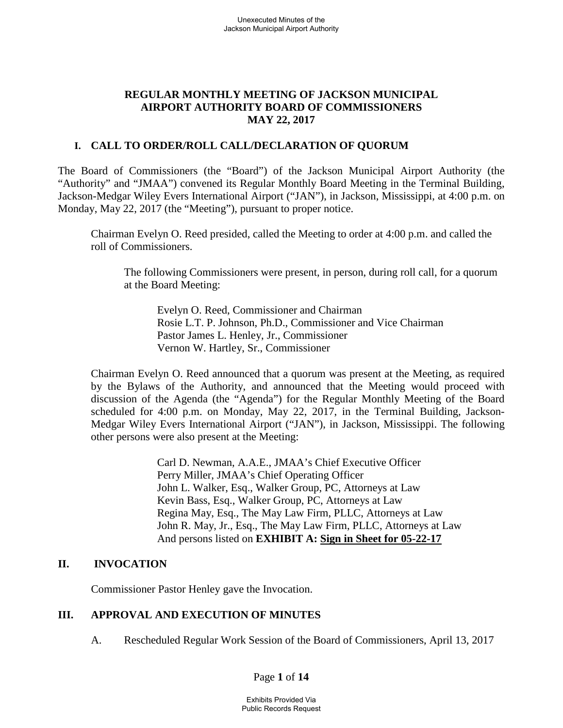# **REGULAR MONTHLY MEETING OF JACKSON MUNICIPAL AIRPORT AUTHORITY BOARD OF COMMISSIONERS MAY 22, 2017**

### **I. CALL TO ORDER/ROLL CALL/DECLARATION OF QUORUM**

The Board of Commissioners (the "Board") of the Jackson Municipal Airport Authority (the "Authority" and "JMAA") convened its Regular Monthly Board Meeting in the Terminal Building, Jackson-Medgar Wiley Evers International Airport ("JAN"), in Jackson, Mississippi, at 4:00 p.m. on Monday, May 22, 2017 (the "Meeting"), pursuant to proper notice.

Chairman Evelyn O. Reed presided, called the Meeting to order at 4:00 p.m. and called the roll of Commissioners.

The following Commissioners were present, in person, during roll call, for a quorum at the Board Meeting:

Evelyn O. Reed, Commissioner and Chairman Rosie L.T. P. Johnson, Ph.D., Commissioner and Vice Chairman Pastor James L. Henley, Jr., Commissioner Vernon W. Hartley, Sr., Commissioner

Chairman Evelyn O. Reed announced that a quorum was present at the Meeting, as required by the Bylaws of the Authority, and announced that the Meeting would proceed with discussion of the Agenda (the "Agenda") for the Regular Monthly Meeting of the Board scheduled for 4:00 p.m. on Monday, May 22, 2017, in the Terminal Building, Jackson-Medgar Wiley Evers International Airport ("JAN"), in Jackson, Mississippi. The following other persons were also present at the Meeting:

> Carl D. Newman, A.A.E., JMAA's Chief Executive Officer Perry Miller, JMAA's Chief Operating Officer John L. Walker, Esq., Walker Group, PC, Attorneys at Law Kevin Bass, Esq., Walker Group, PC, Attorneys at Law Regina May, Esq., The May Law Firm, PLLC, Attorneys at Law John R. May, Jr., Esq., The May Law Firm, PLLC, Attorneys at Law And persons listed on **EXHIBIT A: Sign in Sheet for 05-22-17**

### **II. INVOCATION**

Commissioner Pastor Henley gave the Invocation.

# **III. APPROVAL AND EXECUTION OF MINUTES**

A. Rescheduled Regular Work Session of the Board of Commissioners, April 13, 2017

Page **1** of **14**

Exhibits Provided Via Public Records Request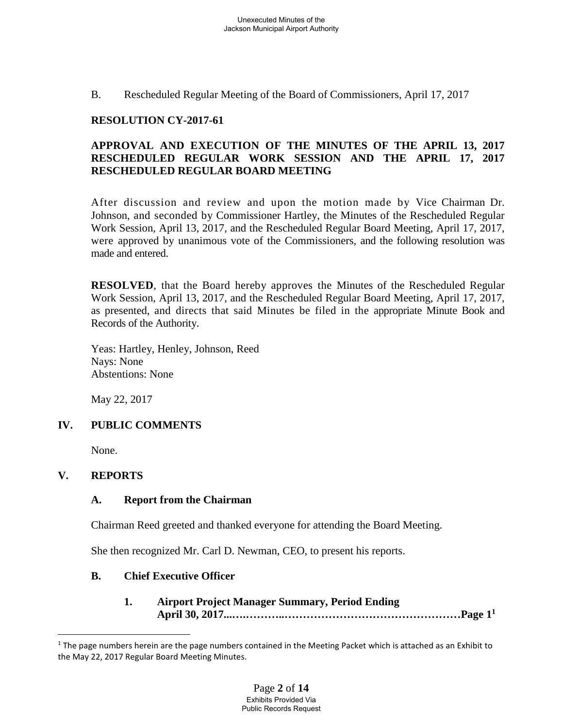B. Rescheduled Regular Meeting of the Board of Commissioners, April 17, 2017

# **RESOLUTION CY-2017-61**

# **APPROVAL AND EXECUTION OF THE MINUTES OF THE APRIL 13, 2017 RESCHEDULED REGULAR WORK SESSION AND THE APRIL 17, 2017 RESCHEDULED REGULAR BOARD MEETING**

After discussion and review and upon the motion made by Vice Chairman Dr. Johnson, and seconded by Commissioner Hartley, the Minutes of the Rescheduled Regular Work Session, April 13, 2017, and the Rescheduled Regular Board Meeting, April 17, 2017, were approved by unanimous vote of the Commissioners, and the following resolution was made and entered.

**RESOLVED**, that the Board hereby approves the Minutes of the Rescheduled Regular Work Session, April 13, 2017, and the Rescheduled Regular Board Meeting, April 17, 2017, as presented, and directs that said Minutes be filed in the appropriate Minute Book and Records of the Authority.

Yeas: Hartley, Henley, Johnson, Reed Nays: None Abstentions: None

May 22, 2017

# **IV. PUBLIC COMMENTS**

None.

# **V. REPORTS**

# **A. Report from the Chairman**

Chairman Reed greeted and thanked everyone for attending the Board Meeting.

She then recognized Mr. Carl D. Newman, CEO, to present his reports.

# **B. Chief Executive Officer**

**1. Airport Project Manager Summary, Period Ending April 30, 2017...….………..…………………………………………Page 1<sup>1</sup>**

 $1$  The page numbers herein are the page numbers contained in the Meeting Packet which is attached as an Exhibit to the May 22, 2017 Regular Board Meeting Minutes.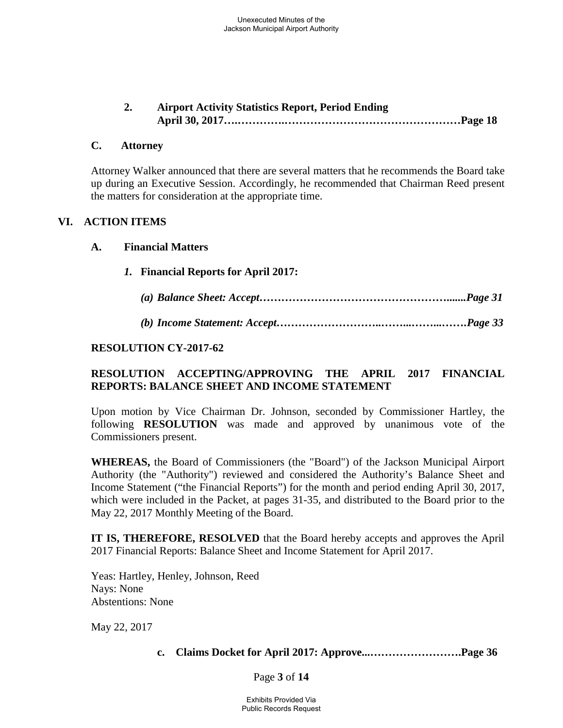**2. Airport Activity Statistics Report, Period Ending April 30, 2017….………….…………………………………………Page 18**

#### **C. Attorney**

Attorney Walker announced that there are several matters that he recommends the Board take up during an Executive Session. Accordingly, he recommended that Chairman Reed present the matters for consideration at the appropriate time.

### **VI. ACTION ITEMS**

#### **A. Financial Matters**

- *1.* **Financial Reports for April 2017:**
	- *(a) Balance Sheet: Accept…………………………………………….......Page 31*
	- *(b) Income Statement: Accept………………………..……...……...…….Page 33*

#### **RESOLUTION CY-2017-62**

### **RESOLUTION ACCEPTING/APPROVING THE APRIL 2017 FINANCIAL REPORTS: BALANCE SHEET AND INCOME STATEMENT**

Upon motion by Vice Chairman Dr. Johnson, seconded by Commissioner Hartley, the following **RESOLUTION** was made and approved by unanimous vote of the Commissioners present.

**WHEREAS,** the Board of Commissioners (the "Board") of the Jackson Municipal Airport Authority (the "Authority") reviewed and considered the Authority's Balance Sheet and Income Statement ("the Financial Reports") for the month and period ending April 30, 2017, which were included in the Packet, at pages 31-35, and distributed to the Board prior to the May 22, 2017 Monthly Meeting of the Board.

**IT IS, THEREFORE, RESOLVED** that the Board hereby accepts and approves the April 2017 Financial Reports: Balance Sheet and Income Statement for April 2017.

Yeas: Hartley, Henley, Johnson, Reed Nays: None Abstentions: None

May 22, 2017

### **c. Claims Docket for April 2017: Approve...…………………….Page 36**

#### Page **3** of **14**

Exhibits Provided Via Public Records Request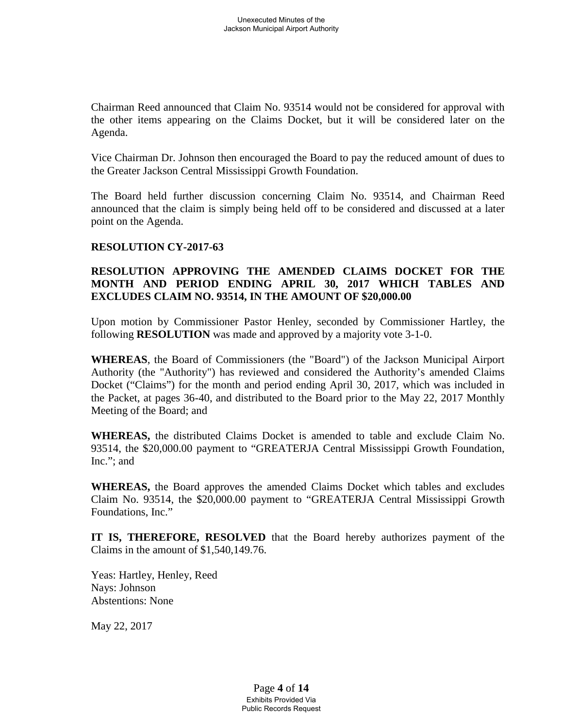Chairman Reed announced that Claim No. 93514 would not be considered for approval with the other items appearing on the Claims Docket, but it will be considered later on the Agenda.

Vice Chairman Dr. Johnson then encouraged the Board to pay the reduced amount of dues to the Greater Jackson Central Mississippi Growth Foundation.

The Board held further discussion concerning Claim No. 93514, and Chairman Reed announced that the claim is simply being held off to be considered and discussed at a later point on the Agenda.

### **RESOLUTION CY-2017-63**

### **RESOLUTION APPROVING THE AMENDED CLAIMS DOCKET FOR THE MONTH AND PERIOD ENDING APRIL 30, 2017 WHICH TABLES AND EXCLUDES CLAIM NO. 93514, IN THE AMOUNT OF \$20,000.00**

Upon motion by Commissioner Pastor Henley, seconded by Commissioner Hartley, the following **RESOLUTION** was made and approved by a majority vote 3-1-0.

**WHEREAS**, the Board of Commissioners (the "Board") of the Jackson Municipal Airport Authority (the "Authority") has reviewed and considered the Authority's amended Claims Docket ("Claims") for the month and period ending April 30, 2017, which was included in the Packet, at pages 36-40, and distributed to the Board prior to the May 22, 2017 Monthly Meeting of the Board; and

**WHEREAS,** the distributed Claims Docket is amended to table and exclude Claim No. 93514, the \$20,000.00 payment to "GREATERJA Central Mississippi Growth Foundation, Inc."; and

**WHEREAS,** the Board approves the amended Claims Docket which tables and excludes Claim No. 93514, the \$20,000.00 payment to "GREATERJA Central Mississippi Growth Foundations, Inc."

**IT IS, THEREFORE, RESOLVED** that the Board hereby authorizes payment of the Claims in the amount of \$1,540,149.76.

Yeas: Hartley, Henley, Reed Nays: Johnson Abstentions: None

May 22, 2017

Page **4** of **14** Exhibits Provided Via Public Records Request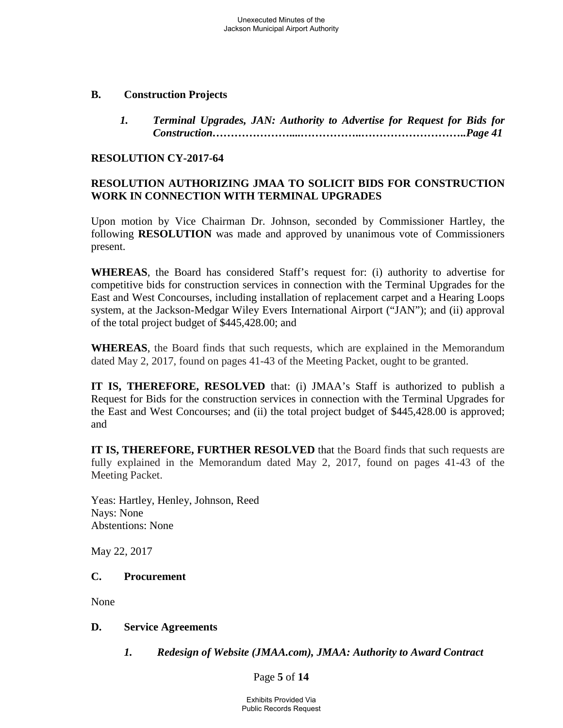#### **B. Construction Projects**

*1. Terminal Upgrades, JAN: Authority to Advertise for Request for Bids for Construction…………………....……………..………………………..Page 41*

#### **RESOLUTION CY-2017-64**

### **RESOLUTION AUTHORIZING JMAA TO SOLICIT BIDS FOR CONSTRUCTION WORK IN CONNECTION WITH TERMINAL UPGRADES**

Upon motion by Vice Chairman Dr. Johnson, seconded by Commissioner Hartley, the following **RESOLUTION** was made and approved by unanimous vote of Commissioners present.

**WHEREAS**, the Board has considered Staff's request for: (i) authority to advertise for competitive bids for construction services in connection with the Terminal Upgrades for the East and West Concourses, including installation of replacement carpet and a Hearing Loops system, at the Jackson-Medgar Wiley Evers International Airport ("JAN"); and (ii) approval of the total project budget of \$445,428.00; and

**WHEREAS**, the Board finds that such requests, which are explained in the Memorandum dated May 2, 2017, found on pages 41-43 of the Meeting Packet, ought to be granted.

**IT IS, THEREFORE, RESOLVED** that: (i) JMAA's Staff is authorized to publish a Request for Bids for the construction services in connection with the Terminal Upgrades for the East and West Concourses; and (ii) the total project budget of \$445,428.00 is approved; and

**IT IS, THEREFORE, FURTHER RESOLVED** that the Board finds that such requests are fully explained in the Memorandum dated May 2, 2017, found on pages 41-43 of the Meeting Packet.

Yeas: Hartley, Henley, Johnson, Reed Nays: None Abstentions: None

May 22, 2017

### **C. Procurement**

None

### **D. Service Agreements**

*1. Redesign of Website (JMAA.com), JMAA: Authority to Award Contract*

Page **5** of **14**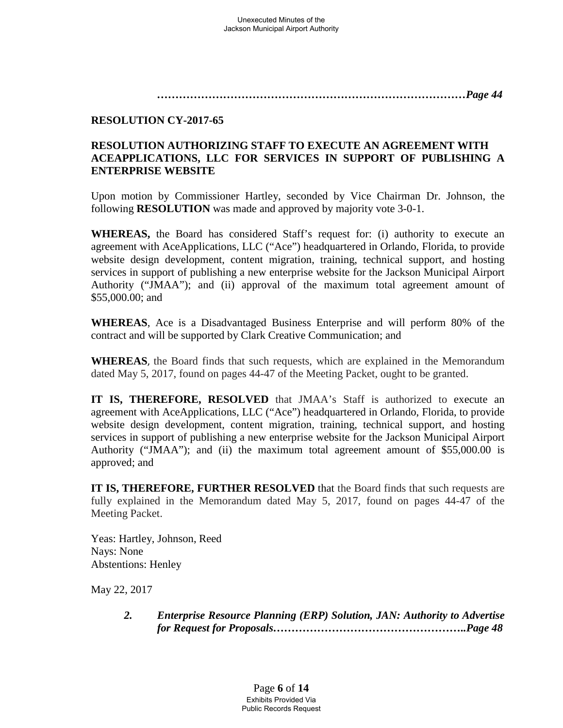*…………………………………………………………………………Page 44*

# **RESOLUTION CY-2017-65**

# **RESOLUTION AUTHORIZING STAFF TO EXECUTE AN AGREEMENT WITH ACEAPPLICATIONS, LLC FOR SERVICES IN SUPPORT OF PUBLISHING A ENTERPRISE WEBSITE**

Upon motion by Commissioner Hartley, seconded by Vice Chairman Dr. Johnson, the following **RESOLUTION** was made and approved by majority vote 3-0-1.

**WHEREAS,** the Board has considered Staff's request for: (i) authority to execute an agreement with AceApplications, LLC ("Ace") headquartered in Orlando, Florida, to provide website design development, content migration, training, technical support, and hosting services in support of publishing a new enterprise website for the Jackson Municipal Airport Authority ("JMAA"); and (ii) approval of the maximum total agreement amount of \$55,000.00; and

**WHEREAS**, Ace is a Disadvantaged Business Enterprise and will perform 80% of the contract and will be supported by Clark Creative Communication; and

**WHEREAS**, the Board finds that such requests, which are explained in the Memorandum dated May 5, 2017, found on pages 44-47 of the Meeting Packet, ought to be granted.

**IT IS, THEREFORE, RESOLVED** that JMAA's Staff is authorized to execute an agreement with AceApplications, LLC ("Ace") headquartered in Orlando, Florida, to provide website design development, content migration, training, technical support, and hosting services in support of publishing a new enterprise website for the Jackson Municipal Airport Authority ("JMAA"); and (ii) the maximum total agreement amount of \$55,000.00 is approved; and

**IT IS, THEREFORE, FURTHER RESOLVED** that the Board finds that such requests are fully explained in the Memorandum dated May 5, 2017, found on pages 44-47 of the Meeting Packet.

Yeas: Hartley, Johnson, Reed Nays: None Abstentions: Henley

May 22, 2017

*2. Enterprise Resource Planning (ERP) Solution, JAN: Authority to Advertise for Request for Proposals……………………………………………..Page 48*

> Page **6** of **14** Exhibits Provided Via Public Records Request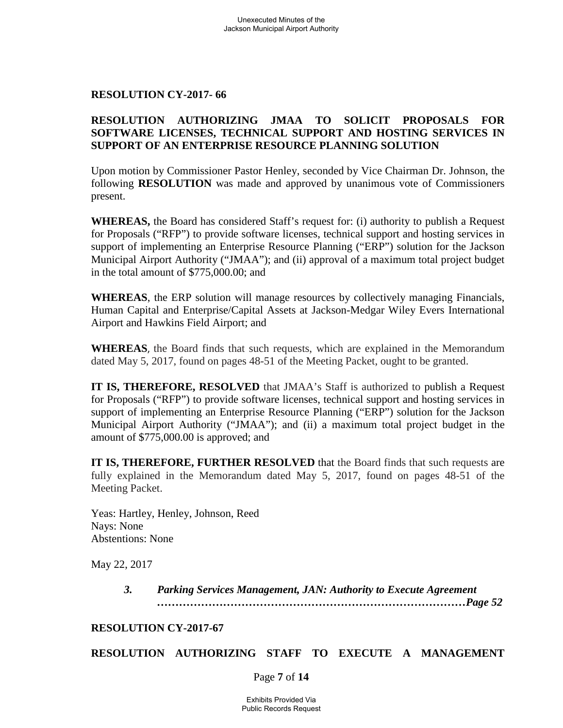### **RESOLUTION CY-2017- 66**

### **RESOLUTION AUTHORIZING JMAA TO SOLICIT PROPOSALS FOR SOFTWARE LICENSES, TECHNICAL SUPPORT AND HOSTING SERVICES IN SUPPORT OF AN ENTERPRISE RESOURCE PLANNING SOLUTION**

Upon motion by Commissioner Pastor Henley, seconded by Vice Chairman Dr. Johnson, the following **RESOLUTION** was made and approved by unanimous vote of Commissioners present.

**WHEREAS,** the Board has considered Staff's request for: (i) authority to publish a Request for Proposals ("RFP") to provide software licenses, technical support and hosting services in support of implementing an Enterprise Resource Planning ("ERP") solution for the Jackson Municipal Airport Authority ("JMAA"); and (ii) approval of a maximum total project budget in the total amount of \$775,000.00; and

**WHEREAS**, the ERP solution will manage resources by collectively managing Financials, Human Capital and Enterprise/Capital Assets at Jackson-Medgar Wiley Evers International Airport and Hawkins Field Airport; and

**WHEREAS**, the Board finds that such requests, which are explained in the Memorandum dated May 5, 2017, found on pages 48-51 of the Meeting Packet, ought to be granted.

**IT IS, THEREFORE, RESOLVED** that JMAA's Staff is authorized to publish a Request for Proposals ("RFP") to provide software licenses, technical support and hosting services in support of implementing an Enterprise Resource Planning ("ERP") solution for the Jackson Municipal Airport Authority ("JMAA"); and (ii) a maximum total project budget in the amount of \$775,000.00 is approved; and

**IT IS, THEREFORE, FURTHER RESOLVED** that the Board finds that such requests are fully explained in the Memorandum dated May 5, 2017, found on pages 48-51 of the Meeting Packet.

Yeas: Hartley, Henley, Johnson, Reed Nays: None Abstentions: None

May 22, 2017

*3. Parking Services Management, JAN: Authority to Execute Agreement …………………………………………………………………………Page 52*

### **RESOLUTION CY-2017-67**

### **RESOLUTION AUTHORIZING STAFF TO EXECUTE A MANAGEMENT**

Page **7** of **14**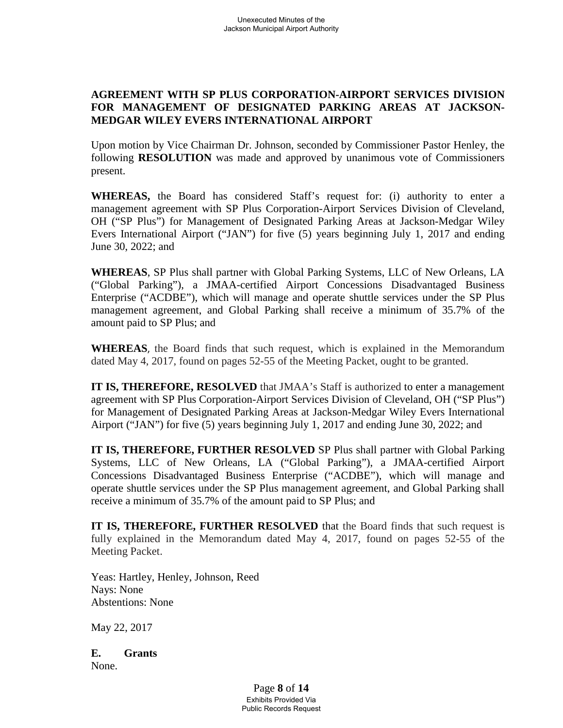# **AGREEMENT WITH SP PLUS CORPORATION-AIRPORT SERVICES DIVISION FOR MANAGEMENT OF DESIGNATED PARKING AREAS AT JACKSON-MEDGAR WILEY EVERS INTERNATIONAL AIRPORT**

Upon motion by Vice Chairman Dr. Johnson, seconded by Commissioner Pastor Henley, the following **RESOLUTION** was made and approved by unanimous vote of Commissioners present.

**WHEREAS,** the Board has considered Staff's request for: (i) authority to enter a management agreement with SP Plus Corporation-Airport Services Division of Cleveland, OH ("SP Plus") for Management of Designated Parking Areas at Jackson-Medgar Wiley Evers International Airport ("JAN") for five (5) years beginning July 1, 2017 and ending June 30, 2022; and

**WHEREAS**, SP Plus shall partner with Global Parking Systems, LLC of New Orleans, LA ("Global Parking"), a JMAA-certified Airport Concessions Disadvantaged Business Enterprise ("ACDBE"), which will manage and operate shuttle services under the SP Plus management agreement, and Global Parking shall receive a minimum of 35.7% of the amount paid to SP Plus; and

**WHEREAS**, the Board finds that such request, which is explained in the Memorandum dated May 4, 2017, found on pages 52-55 of the Meeting Packet, ought to be granted.

**IT IS, THEREFORE, RESOLVED** that JMAA's Staff is authorized to enter a management agreement with SP Plus Corporation-Airport Services Division of Cleveland, OH ("SP Plus") for Management of Designated Parking Areas at Jackson-Medgar Wiley Evers International Airport ("JAN") for five (5) years beginning July 1, 2017 and ending June 30, 2022; and

**IT IS, THEREFORE, FURTHER RESOLVED** SP Plus shall partner with Global Parking Systems, LLC of New Orleans, LA ("Global Parking"), a JMAA-certified Airport Concessions Disadvantaged Business Enterprise ("ACDBE"), which will manage and operate shuttle services under the SP Plus management agreement, and Global Parking shall receive a minimum of 35.7% of the amount paid to SP Plus; and

**IT IS, THEREFORE, FURTHER RESOLVED** that the Board finds that such request is fully explained in the Memorandum dated May 4, 2017, found on pages 52-55 of the Meeting Packet.

Yeas: Hartley, Henley, Johnson, Reed Nays: None Abstentions: None

May 22, 2017

**E. Grants** None.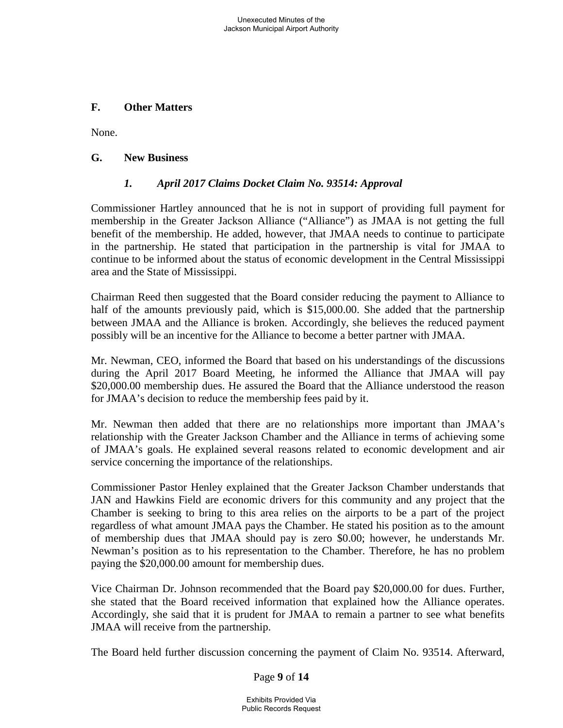### **F. Other Matters**

None.

### **G. New Business**

# *1. April 2017 Claims Docket Claim No. 93514: Approval*

Commissioner Hartley announced that he is not in support of providing full payment for membership in the Greater Jackson Alliance ("Alliance") as JMAA is not getting the full benefit of the membership. He added, however, that JMAA needs to continue to participate in the partnership. He stated that participation in the partnership is vital for JMAA to continue to be informed about the status of economic development in the Central Mississippi area and the State of Mississippi.

Chairman Reed then suggested that the Board consider reducing the payment to Alliance to half of the amounts previously paid, which is \$15,000.00. She added that the partnership between JMAA and the Alliance is broken. Accordingly, she believes the reduced payment possibly will be an incentive for the Alliance to become a better partner with JMAA.

Mr. Newman, CEO, informed the Board that based on his understandings of the discussions during the April 2017 Board Meeting, he informed the Alliance that JMAA will pay \$20,000.00 membership dues. He assured the Board that the Alliance understood the reason for JMAA's decision to reduce the membership fees paid by it.

Mr. Newman then added that there are no relationships more important than JMAA's relationship with the Greater Jackson Chamber and the Alliance in terms of achieving some of JMAA's goals. He explained several reasons related to economic development and air service concerning the importance of the relationships.

Commissioner Pastor Henley explained that the Greater Jackson Chamber understands that JAN and Hawkins Field are economic drivers for this community and any project that the Chamber is seeking to bring to this area relies on the airports to be a part of the project regardless of what amount JMAA pays the Chamber. He stated his position as to the amount of membership dues that JMAA should pay is zero \$0.00; however, he understands Mr. Newman's position as to his representation to the Chamber. Therefore, he has no problem paying the \$20,000.00 amount for membership dues.

Vice Chairman Dr. Johnson recommended that the Board pay \$20,000.00 for dues. Further, she stated that the Board received information that explained how the Alliance operates. Accordingly, she said that it is prudent for JMAA to remain a partner to see what benefits JMAA will receive from the partnership.

The Board held further discussion concerning the payment of Claim No. 93514. Afterward,

### Page **9** of **14**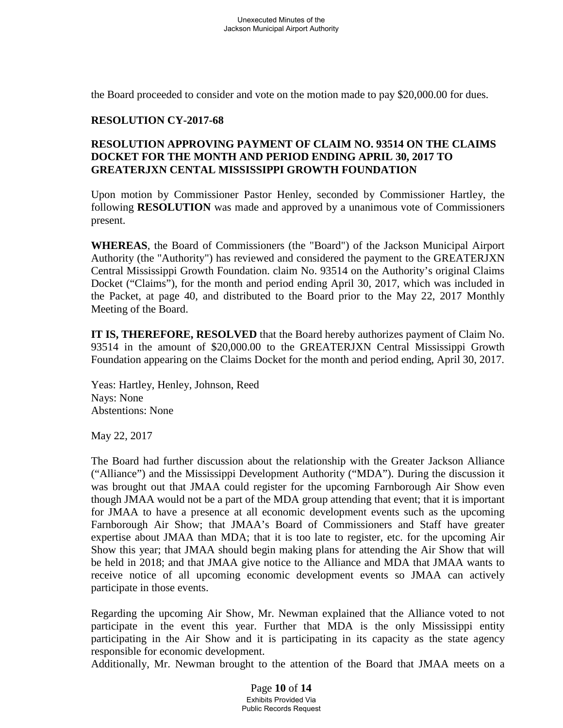the Board proceeded to consider and vote on the motion made to pay \$20,000.00 for dues.

### **RESOLUTION CY-2017-68**

### **RESOLUTION APPROVING PAYMENT OF CLAIM NO. 93514 ON THE CLAIMS DOCKET FOR THE MONTH AND PERIOD ENDING APRIL 30, 2017 TO GREATERJXN CENTAL MISSISSIPPI GROWTH FOUNDATION**

Upon motion by Commissioner Pastor Henley, seconded by Commissioner Hartley, the following **RESOLUTION** was made and approved by a unanimous vote of Commissioners present.

**WHEREAS**, the Board of Commissioners (the "Board") of the Jackson Municipal Airport Authority (the "Authority") has reviewed and considered the payment to the GREATERJXN Central Mississippi Growth Foundation. claim No. 93514 on the Authority's original Claims Docket ("Claims"), for the month and period ending April 30, 2017, which was included in the Packet, at page 40, and distributed to the Board prior to the May 22, 2017 Monthly Meeting of the Board.

**IT IS, THEREFORE, RESOLVED** that the Board hereby authorizes payment of Claim No. 93514 in the amount of \$20,000.00 to the GREATERJXN Central Mississippi Growth Foundation appearing on the Claims Docket for the month and period ending, April 30, 2017.

Yeas: Hartley, Henley, Johnson, Reed Nays: None Abstentions: None

May 22, 2017

The Board had further discussion about the relationship with the Greater Jackson Alliance ("Alliance") and the Mississippi Development Authority ("MDA"). During the discussion it was brought out that JMAA could register for the upcoming Farnborough Air Show even though JMAA would not be a part of the MDA group attending that event; that it is important for JMAA to have a presence at all economic development events such as the upcoming Farnborough Air Show; that JMAA's Board of Commissioners and Staff have greater expertise about JMAA than MDA; that it is too late to register, etc. for the upcoming Air Show this year; that JMAA should begin making plans for attending the Air Show that will be held in 2018; and that JMAA give notice to the Alliance and MDA that JMAA wants to receive notice of all upcoming economic development events so JMAA can actively participate in those events.

Regarding the upcoming Air Show, Mr. Newman explained that the Alliance voted to not participate in the event this year. Further that MDA is the only Mississippi entity participating in the Air Show and it is participating in its capacity as the state agency responsible for economic development.

Additionally, Mr. Newman brought to the attention of the Board that JMAA meets on a

Page **10** of **14** Exhibits Provided Via Public Records Request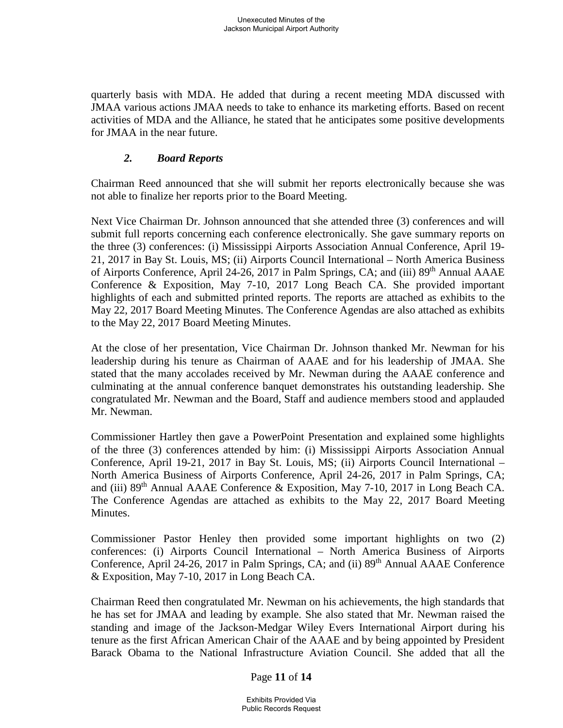quarterly basis with MDA. He added that during a recent meeting MDA discussed with JMAA various actions JMAA needs to take to enhance its marketing efforts. Based on recent activities of MDA and the Alliance, he stated that he anticipates some positive developments for JMAA in the near future.

### *2. Board Reports*

Chairman Reed announced that she will submit her reports electronically because she was not able to finalize her reports prior to the Board Meeting.

Next Vice Chairman Dr. Johnson announced that she attended three (3) conferences and will submit full reports concerning each conference electronically. She gave summary reports on the three (3) conferences: (i) Mississippi Airports Association Annual Conference, April 19- 21, 2017 in Bay St. Louis, MS; (ii) Airports Council International – North America Business of Airports Conference, April 24-26, 2017 in Palm Springs, CA; and (iii) 89<sup>th</sup> Annual AAAE Conference & Exposition, May 7-10, 2017 Long Beach CA. She provided important highlights of each and submitted printed reports. The reports are attached as exhibits to the May 22, 2017 Board Meeting Minutes. The Conference Agendas are also attached as exhibits to the May 22, 2017 Board Meeting Minutes.

At the close of her presentation, Vice Chairman Dr. Johnson thanked Mr. Newman for his leadership during his tenure as Chairman of AAAE and for his leadership of JMAA. She stated that the many accolades received by Mr. Newman during the AAAE conference and culminating at the annual conference banquet demonstrates his outstanding leadership. She congratulated Mr. Newman and the Board, Staff and audience members stood and applauded Mr. Newman.

Commissioner Hartley then gave a PowerPoint Presentation and explained some highlights of the three (3) conferences attended by him: (i) Mississippi Airports Association Annual Conference, April 19-21, 2017 in Bay St. Louis, MS; (ii) Airports Council International – North America Business of Airports Conference, April 24-26, 2017 in Palm Springs, CA; and (iii) 89th Annual AAAE Conference & Exposition, May 7-10, 2017 in Long Beach CA. The Conference Agendas are attached as exhibits to the May 22, 2017 Board Meeting Minutes.

Commissioner Pastor Henley then provided some important highlights on two (2) conferences: (i) Airports Council International – North America Business of Airports Conference, April 24-26, 2017 in Palm Springs, CA; and (ii) 89<sup>th</sup> Annual AAAE Conference & Exposition, May 7-10, 2017 in Long Beach CA.

Chairman Reed then congratulated Mr. Newman on his achievements, the high standards that he has set for JMAA and leading by example. She also stated that Mr. Newman raised the standing and image of the Jackson-Medgar Wiley Evers International Airport during his tenure as the first African American Chair of the AAAE and by being appointed by President Barack Obama to the National Infrastructure Aviation Council. She added that all the

### Page **11** of **14**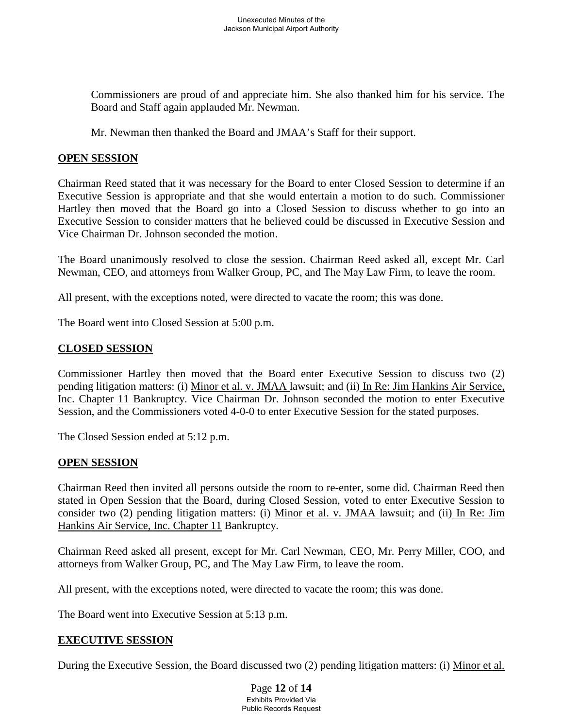Commissioners are proud of and appreciate him. She also thanked him for his service. The Board and Staff again applauded Mr. Newman.

Mr. Newman then thanked the Board and JMAA's Staff for their support.

### **OPEN SESSION**

Chairman Reed stated that it was necessary for the Board to enter Closed Session to determine if an Executive Session is appropriate and that she would entertain a motion to do such. Commissioner Hartley then moved that the Board go into a Closed Session to discuss whether to go into an Executive Session to consider matters that he believed could be discussed in Executive Session and Vice Chairman Dr. Johnson seconded the motion.

The Board unanimously resolved to close the session. Chairman Reed asked all, except Mr. Carl Newman, CEO, and attorneys from Walker Group, PC, and The May Law Firm, to leave the room.

All present, with the exceptions noted, were directed to vacate the room; this was done.

The Board went into Closed Session at 5:00 p.m.

# **CLOSED SESSION**

Commissioner Hartley then moved that the Board enter Executive Session to discuss two (2) pending litigation matters: (i) Minor et al. v. JMAA lawsuit; and (ii) In Re: Jim Hankins Air Service, Inc. Chapter 11 Bankruptcy. Vice Chairman Dr. Johnson seconded the motion to enter Executive Session, and the Commissioners voted 4-0-0 to enter Executive Session for the stated purposes.

The Closed Session ended at 5:12 p.m.

### **OPEN SESSION**

Chairman Reed then invited all persons outside the room to re-enter, some did. Chairman Reed then stated in Open Session that the Board, during Closed Session, voted to enter Executive Session to consider two (2) pending litigation matters: (i) Minor et al. v. JMAA lawsuit; and (ii) In Re: Jim Hankins Air Service, Inc. Chapter 11 Bankruptcy.

Chairman Reed asked all present, except for Mr. Carl Newman, CEO, Mr. Perry Miller, COO, and attorneys from Walker Group, PC, and The May Law Firm, to leave the room.

All present, with the exceptions noted, were directed to vacate the room; this was done.

The Board went into Executive Session at 5:13 p.m.

### **EXECUTIVE SESSION**

During the Executive Session, the Board discussed two (2) pending litigation matters: (i) Minor et al.

Page **12** of **14** Exhibits Provided Via Public Records Request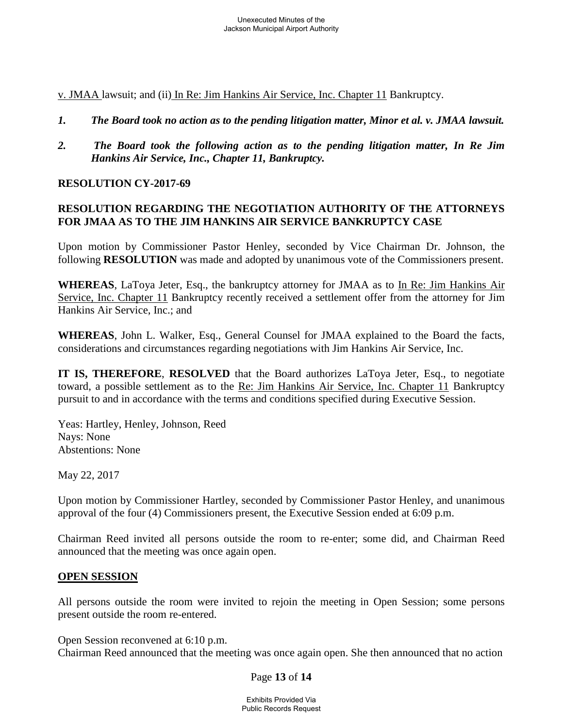v. JMAA lawsuit; and (ii) In Re: Jim Hankins Air Service, Inc. Chapter 11 Bankruptcy.

- *1. The Board took no action as to the pending litigation matter, Minor et al. v. JMAA lawsuit.*
- *2. The Board took the following action as to the pending litigation matter, In Re Jim Hankins Air Service, Inc., Chapter 11, Bankruptcy.*

# **RESOLUTION CY-2017-69**

# **RESOLUTION REGARDING THE NEGOTIATION AUTHORITY OF THE ATTORNEYS FOR JMAA AS TO THE JIM HANKINS AIR SERVICE BANKRUPTCY CASE**

Upon motion by Commissioner Pastor Henley, seconded by Vice Chairman Dr. Johnson, the following **RESOLUTION** was made and adopted by unanimous vote of the Commissioners present.

**WHEREAS**, LaToya Jeter, Esq., the bankruptcy attorney for JMAA as to In Re: Jim Hankins Air Service, Inc. Chapter 11 Bankruptcy recently received a settlement offer from the attorney for Jim Hankins Air Service, Inc.; and

**WHEREAS**, John L. Walker, Esq., General Counsel for JMAA explained to the Board the facts, considerations and circumstances regarding negotiations with Jim Hankins Air Service, Inc.

**IT IS, THEREFORE**, **RESOLVED** that the Board authorizes LaToya Jeter, Esq., to negotiate toward, a possible settlement as to the Re: Jim Hankins Air Service, Inc. Chapter 11 Bankruptcy pursuit to and in accordance with the terms and conditions specified during Executive Session.

Yeas: Hartley, Henley, Johnson, Reed Nays: None Abstentions: None

May 22, 2017

Upon motion by Commissioner Hartley, seconded by Commissioner Pastor Henley, and unanimous approval of the four (4) Commissioners present, the Executive Session ended at 6:09 p.m.

Chairman Reed invited all persons outside the room to re-enter; some did, and Chairman Reed announced that the meeting was once again open.

### **OPEN SESSION**

All persons outside the room were invited to rejoin the meeting in Open Session; some persons present outside the room re-entered.

Open Session reconvened at 6:10 p.m.

Chairman Reed announced that the meeting was once again open. She then announced that no action

Page **13** of **14**